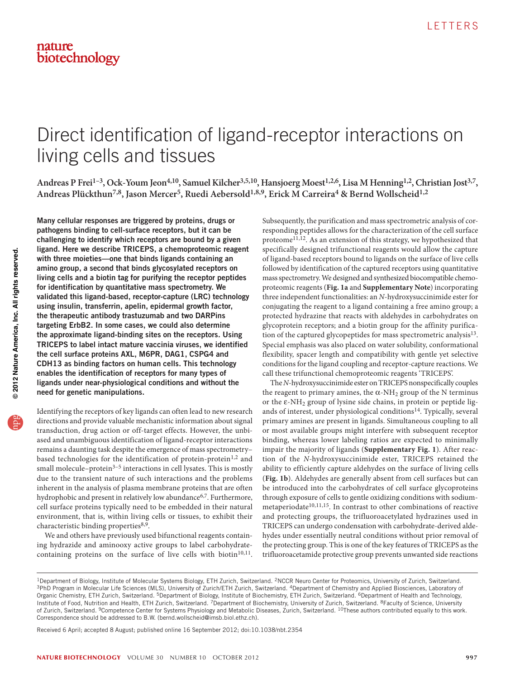# Direct identification of ligand-receptor interactions on living cells and tissues

Andreas P Frei<sup>1-3</sup>, Ock-Youm Jeon<sup>4,10</sup>, Samuel Kilcher<sup>3,5,10</sup>, Hansjoerg Moest<sup>1,2,6</sup>, Lisa M Henning<sup>1,2</sup>, Christian Jost<sup>3,7</sup>, Andreas Plückthun<sup>7,8</sup>, Jason Mercer<sup>5</sup>, Ruedi Aebersold<sup>1,8,9</sup>, Erick M Carreira<sup>4</sup> & Bernd Wollscheid<sup>1,2</sup>

Many cellular responses are triggered by proteins, drugs or pathogens binding to cell-surface receptors, but it can be challenging to identify which receptors are bound by a given ligand. Here we describe TRICEPS, a chemoproteomic reagent with three moieties—one that binds ligands containing an amino group, a second that binds glycosylated receptors on living cells and a biotin tag for purifying the receptor peptides for identification by quantitative mass spectrometry. We validated this ligand-based, receptor-capture (LRC) technology using insulin, transferrin, apelin, epidermal growth factor, the therapeutic antibody trastuzumab and two DARPins targeting ErbB2. In some cases, we could also determine the approximate ligand-binding sites on the receptors. Using TRICEPS to label intact mature vaccinia viruses, we identified the cell surface proteins AXL, M6PR, DAG1, CSPG4 and CDH13 as binding factors on human cells. This technology enables the identification of receptors for many types of ligands under near-physiological conditions and without the need for genetic manipulations.

Identifying the receptors of key ligands can often lead to new research directions and provide valuable mechanistic information about signal transduction, drug action or off-target effects. However, the unbiased and unambiguous identification of ligand-receptor interactions remains a daunting task despite the emergence of mass spectrometry– based technologies for the identification of protein-protein<sup>[1,](#page-4-0)2</sup> and small molecule–protein $3-5$  interactions in cell lysates. This is mostly due to the transient nature of such interactions and the problems inherent in the analysis of plasma membrane proteins that are often hydrophobic and present in relatively low abundance<sup>[6,](#page-4-4)7</sup>. Furthermore, cell surface proteins typically need to be embedded in their natural environment, that is, within living cells or tissues, to exhibit their characteristic binding properties<sup>[8,](#page-4-6)9</sup>.

We and others have previously used bifunctional reagents containing hydrazide and aminooxy active groups to label carbohydrate-containing proteins on the surface of live cells with biotin<sup>[10,](#page-4-8)[11](#page-4-9)</sup>.

Subsequently, the purification and mass spectrometric analysis of corresponding peptides allows for the characterization of the cell surface proteome<sup>[11,](#page-4-9)12</sup>. As an extension of this strategy, we hypothesized that specifically designed trifunctional reagents would allow the capture of ligand-based receptors bound to ligands on the surface of live cells followed by identification of the captured receptors using quantitative mass spectrometry. We designed and synthesized biocompatible chemoproteomic reagents (**[Fig. 1a](#page-1-0)** and **Supplementary Note**) incorporating three independent functionalities: an *N*-hydroxysuccinimide ester for conjugating the reagent to a ligand containing a free amino group; a protected hydrazine that reacts with aldehydes in carbohydrates on glycoprotein receptors; and a biotin group for the affinity purifica-tion of the captured glycopeptides for mass spectrometric analysis<sup>[13](#page-4-11)</sup>. Special emphasis was also placed on water solubility, conformational flexibility, spacer length and compatibility with gentle yet selective conditions for the ligand coupling and receptor-capture reactions. We call these trifunctional chemoproteomic reagents 'TRICEPS'.

The *N*-hydroxysuccinimide ester on TRICEPS nonspecifically couples the reagent to primary amines, the  $\alpha$ -NH<sub>2</sub> group of the N terminus or the  $\epsilon$ -NH<sub>2</sub> group of lysine side chains, in protein or peptide lig-ands of interest, under physiological conditions<sup>[14](#page-4-12)</sup>. Typically, several primary amines are present in ligands. Simultaneous coupling to all or most available groups might interfere with subsequent receptor binding, whereas lower labeling ratios are expected to minimally impair the majority of ligands (**Supplementary Fig. 1**). After reaction of the *N-*hydroxysuccinimide ester, TRICEPS retained the ability to efficiently capture aldehydes on the surface of living cells (**[Fig. 1b](#page-1-0)**). Aldehydes are generally absent from cell surfaces but can be introduced into the carbohydrates of cell surface glycoproteins through exposure of cells to gentle oxidizing conditions with sodium-metaperiodate<sup>[10,](#page-4-8)[11,](#page-4-9)[15](#page-4-13)</sup>. In contrast to other combinations of reactive and protecting groups, the trifluoroacetylated hydrazines used in TRICEPS can undergo condensation with carbohydrate-derived aldehydes under essentially neutral conditions without prior removal of the protecting group. This is one of the key features of TRICEPS as the trifluoroacetamide protective group prevents unwanted side reactions

Received 6 April; accepted 8 August; published online 16 September 2012; [doi:10.1038/nbt.2354](http://www.nature.com/doifinder/10.1038/nbt.2354)

<sup>&</sup>lt;sup>1</sup>Department of Biology, Institute of Molecular Systems Biology, ETH Zurich, Switzerland. <sup>2</sup>NCCR Neuro Center for Proteomics, University of Zurich, Switzerland.<br><sup>3</sup>PhD Program in Molecular Life Sciences (MLS), University Organic Chemistry, ETH Zurich, Switzerland. <sup>5</sup>Department of Biology, Institute of Biochemistry, ETH Zurich, Switzerland. <sup>6</sup>Department of Health and Technology, Institute of Food, Nutrition and Health, ETH Zurich, Switzerland. 7Department of Biochemistry, University of Zurich, Switzerland. <sup>8</sup>Faculty of Science, University of Zurich, Switzerland. <sup>9</sup>Competence Center for Systems Physiology and Metabolic Diseases, Zurich, Switzerland. <sup>10</sup>These authors contributed equally to this work. Correspondence should be addressed to B.W. (bernd.wollscheid@imsb.biol.ethz.ch).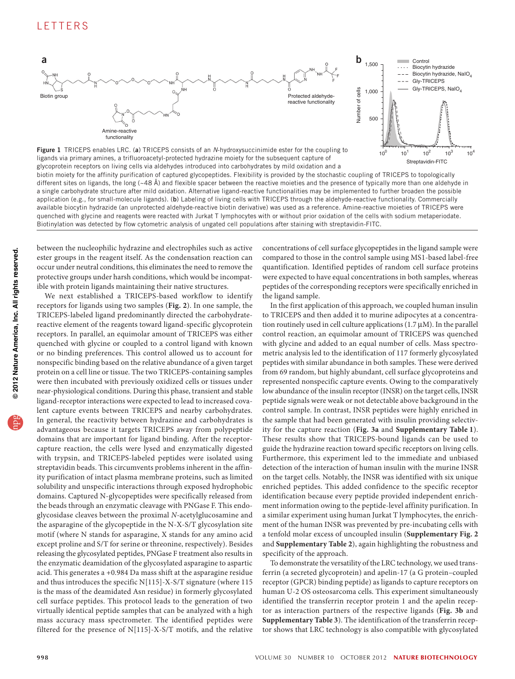

<span id="page-1-0"></span>

a single carbohydrate structure after mild oxidation. Alternative ligand-reactive functionalities may be implemented to further broaden the possible application (e.g., for small-molecule ligands). (b) Labeling of living cells with TRICEPS through the aldehyde-reactive functionality. Commercially available biocytin hydrazide (an unprotected aldehyde-reactive biotin derivative) was used as a reference. Amine-reactive moieties of TRICEPS were quenched with glycine and reagents were reacted with Jurkat T lymphocytes with or without prior oxidation of the cells with sodium metaperiodate. Biotinylation was detected by flow cytometric analysis of ungated cell populations after staining with streptavidin-FITC.

between the nucleophilic hydrazine and electrophiles such as active ester groups in the reagent itself. As the condensation reaction can occur under neutral conditions, this eliminates the need to remove the protective groups under harsh conditions, which would be incompatible with protein ligands maintaining their native structures.

We next established a TRICEPS-based workflow to identify receptors for ligands using two samples (**[Fig. 2](#page-2-0)**). In one sample, the TRICEPS-labeled ligand predominantly directed the carbohydratereactive element of the reagents toward ligand-specific glycoprotein receptors. In parallel, an equimolar amount of TRICEPS was either quenched with glycine or coupled to a control ligand with known or no binding preferences. This control allowed us to account for nonspecific binding based on the relative abundance of a given target protein on a cell line or tissue. The two TRICEPS-containing samples were then incubated with previously oxidized cells or tissues under near-physiological conditions. During this phase, transient and stable ligand-receptor interactions were expected to lead to increased covalent capture events between TRICEPS and nearby carbohydrates. In general, the reactivity between hydrazine and carbohydrates is advantageous because it targets TRICEPS away from polypeptide domains that are important for ligand binding. After the receptorcapture reaction, the cells were lysed and enzymatically digested with trypsin, and TRICEPS-labeled peptides were isolated using streptavidin beads. This circumvents problems inherent in the affinity purification of intact plasma membrane proteins, such as limited solubility and unspecific interactions through exposed hydrophobic domains. Captured N-glycopeptides were specifically released from the beads through an enzymatic cleavage with PNGase F. This endoglycosidase cleaves between the proximal *N-*acetylglucosamine and the asparagine of the glycopeptide in the N-X-S/T glycosylation site motif (where N stands for asparagine, X stands for any amino acid except proline and S/T for serine or threonine, respectively). Besides releasing the glycosylated peptides, PNGase F treatment also results in the enzymatic deamidation of the glycosylated asparagine to aspartic acid. This generates a +0.984 Da mass shift at the asparagine residue and thus introduces the specific N[115]-X-S/T signature (where 115 is the mass of the deamidated Asn residue) in formerly glycosylated cell surface peptides. This protocol leads to the generation of two virtually identical peptide samples that can be analyzed with a high mass accuracy mass spectrometer. The identified peptides were filtered for the presence of N[115]-X-S/T motifs, and the relative

concentrations of cell surface glycopeptides in the ligand sample were compared to those in the control sample using MS1-based label-free quantification. Identified peptides of random cell surface proteins were expected to have equal concentrations in both samples, whereas peptides of the corresponding receptors were specifically enriched in the ligand sample.

In the first application of this approach, we coupled human insulin to TRICEPS and then added it to murine adipocytes at a concentration routinely used in cell culture applications (1.7 µM). In the parallel control reaction, an equimolar amount of TRICEPS was quenched with glycine and added to an equal number of cells. Mass spectrometric analysis led to the identification of 117 formerly glycosylated peptides with similar abundance in both samples. These were derived from 69 random, but highly abundant, cell surface glycoproteins and represented nonspecific capture events. Owing to the comparatively low abundance of the insulin receptor (INSR) on the target cells, INSR peptide signals were weak or not detectable above background in the control sample. In contrast, INSR peptides were highly enriched in the sample that had been generated with insulin providing selectivity for the capture reaction (**[Fig. 3a](#page-3-0)** and **Supplementary Table 1**). These results show that TRICEPS-bound ligands can be used to guide the hydrazine reaction toward specific receptors on living cells. Furthermore, this experiment led to the immediate and unbiased detection of the interaction of human insulin with the murine INSR on the target cells. Notably, the INSR was identified with six unique enriched peptides. This added confidence to the specific receptor identification because every peptide provided independent enrichment information owing to the peptide-level affinity purification. In a similar experiment using human Jurkat T lymphocytes, the enrichment of the human INSR was prevented by pre-incubating cells with a tenfold molar excess of uncoupled insulin (**Supplementary Fig. 2** and **Supplementary Table 2**), again highlighting the robustness and specificity of the approach.

To demonstrate the versatility of the LRC technology, we used transferrin (a secreted glycoprotein) and apelin-17 (a G protein–coupled receptor (GPCR) binding peptide) as ligands to capture receptors on human U-2 OS osteosarcoma cells. This experiment simultaneously identified the transferrin receptor protein 1 and the apelin receptor as interaction partners of the respective ligands (**[Fig. 3b](#page-3-0)** and **Supplementary Table 3**). The identification of the transferrin receptor shows that LRC technology is also compatible with glycosylated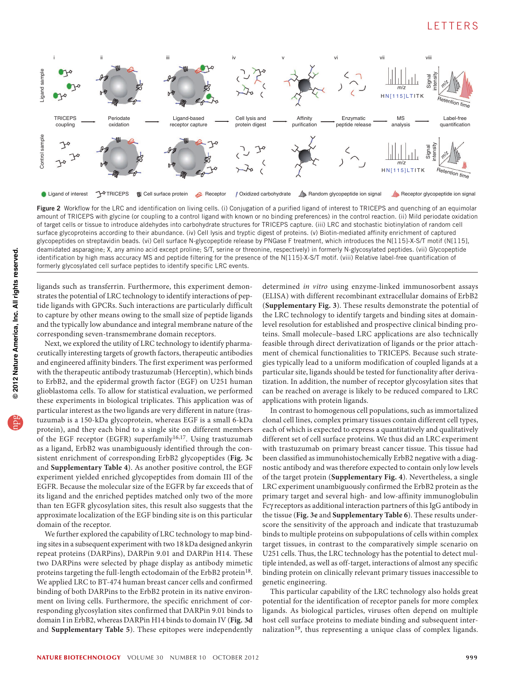# **LETTERS**



<span id="page-2-0"></span>Figure 2 Workflow for the LRC and identification on living cells. (i) Conjugation of a purified ligand of interest to TRICEPS and quenching of an equimolar amount of TRICEPS with glycine (or coupling to a control ligand with known or no binding preferences) in the control reaction. (ii) Mild periodate oxidation of target cells or tissue to introduce aldehydes into carbohydrate structures for TRICEPS capture. (iii) LRC and stochastic biotinylation of random cell surface glycoproteins according to their abundance. (iv) Cell lysis and tryptic digest of proteins. (v) Biotin-mediated affinity enrichment of captured glycopeptides on streptavidin beads. (vi) Cell surface N-glycopeptide release by PNGase F treatment, which introduces the N[115]-X-S/T motif (N[115], deamidated asparagine; X, any amino acid except proline; S/T, serine or threonine, respectively) in formerly N-glycosylated peptides. (vii) Glycopeptide identification by high mass accuracy MS and peptide filtering for the presence of the N[115]-X-S/T motif. (viii) Relative label-free quantification of formerly glycosylated cell surface peptides to identify specific LRC events.

ligands such as transferrin. Furthermore, this experiment demonstrates the potential of LRC technology to identify interactions of peptide ligands with GPCRs. Such interactions are particularly difficult to capture by other means owing to the small size of peptide ligands and the typically low abundance and integral membrane nature of the corresponding seven-transmembrane domain receptors.

Next, we explored the utility of LRC technology to identify pharmaceutically interesting targets of growth factors, therapeutic antibodies and engineered affinity binders. The first experiment was performed with the therapeutic antibody trastuzumab (Herceptin), which binds to ErbB2, and the epidermal growth factor (EGF) on U251 human glioblastoma cells. To allow for statistical evaluation, we performed these experiments in biological triplicates. This application was of particular interest as the two ligands are very different in nature (trastuzumab is a 150-kDa glycoprotein, whereas EGF is a small 6-kDa protein), and they each bind to a single site on different members of the EGF receptor (EGFR) superfamily<sup>[16,](#page-4-14)[17](#page-4-15)</sup>. Using trastuzumab as a ligand, ErbB2 was unambiguously identified through the consistent enrichment of corresponding ErbB2 glycopeptides (**[Fig. 3c](#page-3-0)** and **Supplementary Table 4**). As another positive control, the EGF experiment yielded enriched glycopeptides from domain III of the EGFR. Because the molecular size of the EGFR by far exceeds that of its ligand and the enriched peptides matched only two of the more than ten EGFR glycosylation sites, this result also suggests that the approximate localization of the EGF binding site is on this particular domain of the receptor.

We further explored the capability of LRC technology to map binding sites in a subsequent experiment with two 18 kDa designed ankyrin repeat proteins (DARPins), DARPin 9.01 and DARPin H14. These two DARPins were selected by phage display as antibody mimetic proteins targeting the full-length ectodomain of the ErbB2 protein<sup>[18](#page-4-16)</sup>. We applied LRC to BT-474 human breast cancer cells and confirmed binding of both DARPins to the ErbB2 protein in its native environment on living cells. Furthermore, the specific enrichment of corresponding glycosylation sites confirmed that DARPin 9.01 binds to domain I in ErbB2, whereas DARPin H14 binds to domain IV (**[Fig.](#page-3-0) 3d** and **Supplementary Table 5**). These epitopes were independently

determined *in vitro* using enzyme-linked immunosorbent assays (ELISA) with different recombinant extracellular domains of ErbB2 (**Supplementary Fig. 3**). These results demonstrate the potential of the LRC technology to identify targets and binding sites at domainlevel resolution for established and prospective clinical binding proteins. Small molecule–based LRC applications are also technically feasible through direct derivatization of ligands or the prior attachment of chemical functionalities to TRICEPS. Because such strategies typically lead to a uniform modification of coupled ligands at a particular site, ligands should be tested for functionality after derivatization. In addition, the number of receptor glycosylation sites that can be reached on average is likely to be reduced compared to LRC applications with protein ligands.

In contrast to homogenous cell populations, such as immortalized clonal cell lines, complex primary tissues contain different cell types, each of which is expected to express a quantitatively and qualitatively different set of cell surface proteins. We thus did an LRC experiment with trastuzumab on primary breast cancer tissue. This tissue had been classified as immunohistochemically ErbB2 negative with a diagnostic antibody and was therefore expected to contain only low levels of the target protein (**Supplementary Fig. 4**). Nevertheless, a single LRC experiment unambiguously confirmed the ErbB2 protein as the primary target and several high- and low-affinity immunoglobulin Fcγ receptors as additional interaction partners of this IgG antibody in the tissue (**[Fig. 3e](#page-3-0)** and **Supplementary Table 6**). These results underscore the sensitivity of the approach and indicate that trastuzumab binds to multiple proteins on subpopulations of cells within complex target tissues, in contrast to the comparatively simple scenario on U251 cells. Thus, the LRC technology has the potential to detect multiple intended, as well as off-target, interactions of almost any specific binding protein on clinically relevant primary tissues inaccessible to genetic engineering.

This particular capability of the LRC technology also holds great potential for the identification of receptor panels for more complex ligands. As biological particles, viruses often depend on multiple host cell surface proteins to mediate binding and subsequent internalization<sup>19</sup>, thus representing a unique class of complex ligands.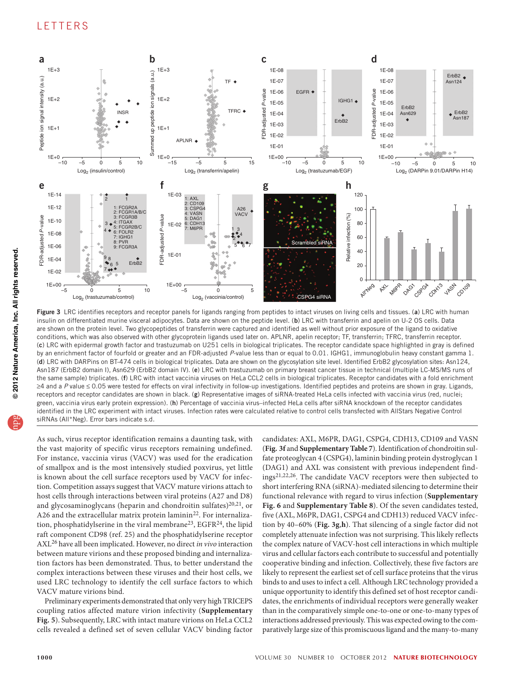

<span id="page-3-0"></span>Figure 3 LRC identifies receptors and receptor panels for ligands ranging from peptides to intact viruses on living cells and tissues. (a) LRC with human insulin on differentiated murine visceral adipocytes. Data are shown on the peptide level. (b) LRC with transferrin and apelin on U-2 OS cells. Data are shown on the protein level. Two glycopeptides of transferrin were captured and identified as well without prior exposure of the ligand to oxidative conditions, which was also observed with other glycoprotein ligands used later on. APLNR, apelin receptor; TF, transferrin; TFRC, transferrin receptor. (c) LRC with epidermal growth factor and trastuzumab on U251 cells in biological triplicates. The receptor candidate space highlighted in gray is defined by an enrichment factor of fourfold or greater and an FDR-adjusted *P*-value less than or equal to 0.01. IGHG1, immunoglobulin heavy constant gamma 1. (d) LRC with DARPins on BT-474 cells in biological triplicates. Data are shown on the glycosylation site level. Identified ErbB2 glycosylation sites: Asn124, Asn187 (ErbB2 domain I), Asn629 (ErbB2 domain IV). (e) LRC with trastuzumab on primary breast cancer tissue in technical (multiple LC-MS/MS runs of the same sample) triplicates. (f) LRC with intact vaccinia viruses on HeLa CCL2 cells in biological triplicates. Receptor candidates with a fold enrichment ≥4 and a P value ≤ 0.05 were tested for effects on viral infectivity in follow-up investigations. Identified peptides and proteins are shown in gray. Ligands, receptors and receptor candidates are shown in black. (g) Representative images of siRNA-treated HeLa cells infected with vaccinia virus (red, nuclei; green, vaccinia virus early protein expression). (h) Percentage of vaccinia virus–infected HeLa cells after siRNA knockdown of the receptor candidates identified in the LRC experiment with intact viruses. Infection rates were calculated relative to control cells transfected with AllStars Negative Control siRNAs (All\*Neg). Error bars indicate s.d.

As such, virus receptor identification remains a daunting task, with the vast majority of specific virus receptors remaining undefined. For instance, vaccinia virus (VACV) was used for the eradication of smallpox and is the most intensively studied poxvirus, yet little is known about the cell surface receptors used by VACV for infection. Competition assays suggest that VACV mature virions attach to host cells through interactions between viral proteins (A27 and D8) and glycosaminoglycans (heparin and chondroitin sulfates)<sup>[20,](#page-4-18)21</sup>, or A26 and the extracellular matrix protein laminin<sup>[22](#page-4-20)</sup>. For internaliza-tion, phosphatidylserine in the viral membrane<sup>[23](#page-4-21)</sup>, EGFR<sup>[24](#page-4-22)</sup>, the lipid raft component CD98 (ref. 25) and the phosphatidylserine receptor AXL[26](#page-4-23) have all been implicated. However, no direct *in vivo* interaction between mature virions and these proposed binding and internalization factors has been demonstrated. Thus, to better understand the complex interactions between these viruses and their host cells, we used LRC technology to identify the cell surface factors to which VACV mature virions bind.

Preliminary experiments demonstrated that only very high TRICEPS coupling ratios affected mature virion infectivity (**Supplementary Fig. 5**). Subsequently, LRC with intact mature virions on HeLa CCL2 cells revealed a defined set of seven cellular VACV binding factor candidates: AXL, M6PR, DAG1, CSPG4, CDH13, CD109 and VASN (**[Fig.](#page-3-0) 3f** and **Supplementary Table 7**). Identification of chondroitin sulfate proteoglycan 4 (CSPG4), laminin binding protein dystroglycan 1 (DAG1) and AXL was consistent with previous independent findings[21,](#page-4-19)[22,](#page-4-20)[26](#page-4-23). The candidate VACV receptors were then subjected to short interfering RNA (siRNA)-mediated silencing to determine their functional relevance with regard to virus infection (**Supplementary Fig. 6** and **Supplementary Table 8**). Of the seven candidates tested, five (AXL, M6PR, DAG1, CSPG4 and CDH13) reduced VACV infection by 40–60% (**[Fig. 3g](#page-3-0)**,**h**). That silencing of a single factor did not completely attenuate infection was not surprising. This likely reflects the complex nature of VACV-host cell interactions in which multiple virus and cellular factors each contribute to successful and potentially cooperative binding and infection. Collectively, these five factors are likely to represent the earliest set of cell surface proteins that the virus binds to and uses to infect a cell. Although LRC technology provided a unique opportunity to identify this defined set of host receptor candidates, the enrichments of individual receptors were generally weaker than in the comparatively simple one-to-one or one-to-many types of interactions addressed previously. This was expected owing to the comparatively large size of this promiscuous ligand and the many-to-many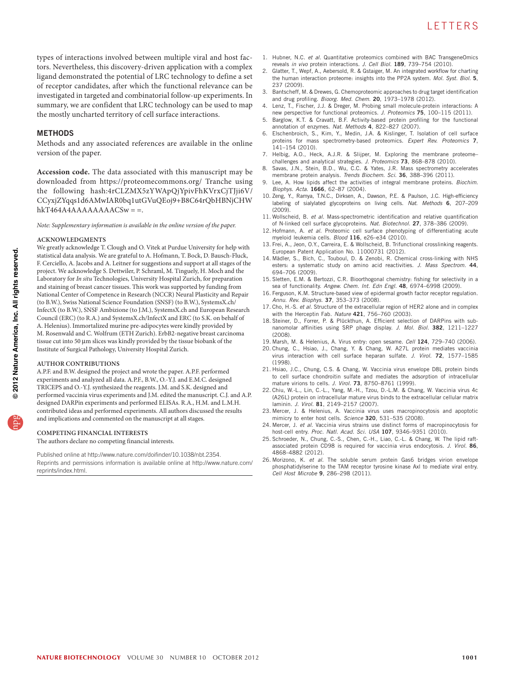types of interactions involved between multiple viral and host factors. Nevertheless, this discovery-driven application with a complex ligand demonstrated the potential of LRC technology to define a set of receptor candidates, after which the functional relevance can be investigated in targeted and combinatorial follow-up experiments. In summary, we are confident that LRC technology can be used to map the mostly uncharted territory of cell surface interactions.

## **METHODS**

Methods and any associated references are available in the [online](http://www.nature.com/doifinder/10.1038/nbt.2354) [version of the paper](http://www.nature.com/doifinder/10.1038/nbt.2354).

**Accession code.** The data associated with this manuscript may be downloaded from <https://proteomecommons.org/> Tranche using the following hash:4rCLZMX5zYWApQjYpivFhKVrxCjTJji6V/ CCyxjZYqqs1d6AMwIAR0bq1utGVuQEoj9+B8C64rQbHBNjCHW  $hkT464A4AAAAAAACSw =$ 

*Note: Supplementary information is available in the [online version of the paper.](http://www.nature.com/doifinder/10.1038/nbt.2354)*

#### **Acknowledgments**

We greatly acknowledge T. Clough and O. Vitek at Purdue University for help with statistical data analysis. We are grateful to A. Hofmann, T. Bock, D. Bausch-Fluck, F. Cerciello, A. Jacobs and A. Leitner for suggestions and support at all stages of the project. We acknowledge S. Dettwiler, P. Schraml, M. Tinguely, H. Moch and the Laboratory for *In situ* Technologies, University Hospital Zurich, for preparation and staining of breast cancer tissues. This work was supported by funding from National Center of Competence in Research (NCCR) Neural Plasticity and Repair (to B.W.), Swiss National Science Foundation (SNSF) (to B.W.), SystemsX.ch/ InfectX (to B.W.), SNSF Ambizione (to J.M.), SystemsX.ch and European Research Council (ERC) (to R.A.) and SystemsX.ch/InfectX and ERC (to S.K. on behalf of A. Helenius). Immortalized murine pre-adipocytes were kindly provided by M. Rosenwald and C. Wolfrum (ETH Zurich). ErbB2-negative breast carcinoma tissue cut into 50 µm slices was kindly provided by the tissue biobank of the Institute of Surgical Pathology, University Hospital Zurich.

#### **Author contributions**

A.P.F. and B.W. designed the project and wrote the paper. A.P.F. performed experiments and analyzed all data. A.P.F., B.W., O.-Y.J. and E.M.C. designed TRICEPS and O.-Y.J. synthesized the reagents. J.M. and S.K. designed and performed vaccinia virus experiments and J.M. edited the manuscript. C.J. and A.P. designed DARPin experiments and performed ELISAs. R.A., H.M. and L.M.H. contributed ideas and performed experiments. All authors discussed the results and implications and commented on the manuscript at all stages.

#### **COMPETING FINANCIAL INTERESTS**

The authors declare no competing financial interests.

Published online at<http://www.nature.com/doifinder/10.1038/nbt.2354>. Reprints and permissions information is available online at http://www.nature.com/ reprints/index.html.

- <span id="page-4-0"></span>1. Hubner, N.C. *et al.* Quantitative proteomics combined with BAC TransgeneOmics reveals *in vivo* protein interactions. *J. Cell Biol.* 189, 739–754 (2010).
- <span id="page-4-1"></span>2. Glatter, T., Wepf, A., Aebersold, R. & Gstaiger, M. An integrated workflow for charting the human interaction proteome: insights into the PP2A system. *Mol. Syst. Biol.* 5, 237 (2009).
- <span id="page-4-2"></span>3. Bantscheff, M. & Drewes, G. Chemoproteomic approaches to drug target identification and drug profiling. *Bioorg. Med. Chem.* 20, 1973–1978 (2012).
- 4. Lenz, T., Fischer, J.J. & Dreger, M. Probing small molecule-protein interactions: A new perspective for functional proteomics. *J. Proteomics* 75, 100–115 (2011).
- <span id="page-4-3"></span>5. Barglow, K.T. & Cravatt, B.F. Activity-based protein profiling for the functional annotation of enzymes. *Nat. Methods* 4, 822–827 (2007).
- <span id="page-4-4"></span>6. Elschenbroich, S., Kim, Y., Medin, J.A. & Kislinger, T. Isolation of cell surface proteins for mass spectrometry-based proteomics. *Expert Rev. Proteomics* 7, 141–154 (2010).
- <span id="page-4-5"></span>7. Helbig, A.O., Heck, A.J.R. & Slijper, M. Exploring the membrane proteome– challenges and analytical strategies. *J. Proteomics* 73, 868–878 (2010).
- <span id="page-4-6"></span>8. Savas, J.N., Stein, B.D., Wu, C.C. & Yates, J.R. Mass spectrometry accelerates membrane protein analysis. *Trends Biochem. Sci.* 36, 388–396 (2011).
- <span id="page-4-7"></span>9. Lee, A. How lipids affect the activities of integral membrane proteins. *Biochim. Biophys. Acta.* 1666, 62–87 (2004).
- <span id="page-4-8"></span>10. Zeng, Y., Ramya, T.N.C., Dirksen, A., Dawson, P.E. & Paulson, J.C. High-efficiency labeling of sialylated glycoproteins on living cells. *Nat. Methods* 6, 207–209 (2009).
- <span id="page-4-9"></span>11. Wollscheid, B. *et al.* Mass-spectrometric identification and relative quantification of N-linked cell surface glycoproteins. *Nat. Biotechnol.* 27, 378–386 (2009).
- <span id="page-4-10"></span>12. Hofmann, A. *et al.* Proteomic cell surface phenotyping of differentiating acute myeloid leukemia cells. *Blood* 116, e26–e34 (2010).
- <span id="page-4-11"></span>13. Frei, A., Jeon, O.Y., Carreira, E. & Wollscheid, B. Trifunctional crosslinking reagents. European Patent Application No. 11000731 (2012).
- <span id="page-4-12"></span>14. Mädler, S., Bich, C., Touboul, D. & Zenobi, R. Chemical cross-linking with NHS esters: a systematic study on amino acid reactivities. *J. Mass Spectrom.* 44, 694–706 (2009).
- <span id="page-4-13"></span>15. Sletten, E.M. & Bertozzi, C.R. Bioorthogonal chemistry: fishing for selectivity in a sea of functionality. *Angew. Chem. Int. Edn Engl.* 48, 6974–6998 (2009).
- <span id="page-4-14"></span>16. Ferguson, K.M. Structure-based view of epidermal growth factor receptor regulation. *Annu. Rev. Biophys.* 37, 353–373 (2008).
- <span id="page-4-15"></span>17. Cho, H.-S. *et al.* Structure of the extracellular region of HER2 alone and in complex with the Herceptin Fab. *Nature* 421, 756–760 (2003).
- <span id="page-4-16"></span>18. Steiner, D., Forrer, P. & Plückthun, A. Efficient selection of DARPins with subnanomolar affinities using SRP phage display. *J. Mol. Biol.* 382, 1211–1227 (2008).
- <span id="page-4-17"></span>19. Marsh, M. & Helenius, A. Virus entry: open sesame. *Cell* 124, 729–740 (2006).
- <span id="page-4-18"></span>20. Chung, C., Hsiao, J., Chang, Y. & Chang, W. A27L protein mediates vaccinia virus interaction with cell surface heparan sulfate. *J. Virol.* 72, 1577–1585 (1998).
- <span id="page-4-19"></span>21. Hsiao, J.C., Chung, C.S. & Chang, W. Vaccinia virus envelope D8L protein binds to cell surface chondroitin sulfate and mediates the adsorption of intracellular mature virions to cells. *J. Virol.* 73, 8750–8761 (1999).
- <span id="page-4-20"></span>22. Chiu, W.-L., Lin, C.-L., Yang, M.-H., Tzou, D.-L.M. & Chang, W. Vaccinia virus 4c (A26L) protein on intracellular mature virus binds to the extracellular cellular matrix laminin. *J. Virol.* 81, 2149–2157 (2007).
- <span id="page-4-21"></span>23. Mercer, J. & Helenius, A. Vaccinia virus uses macropinocytosis and apoptotic mimicry to enter host cells. *Science* 320, 531–535 (2008).
- <span id="page-4-22"></span>24. Mercer, J. *et al.* Vaccinia virus strains use distinct forms of macropinocytosis for host-cell entry. *Proc. Natl. Acad. Sci. USA* 107, 9346–9351 (2010).
- 25. Schroeder, N., Chung, C.-S., Chen, C.-H., Liao, C.-L. & Chang, W. The lipid raftassociated protein CD98 is required for vaccinia virus endocytosis. *J. Virol.* 86, 4868–4882 (2012).
- <span id="page-4-23"></span>26. Morizono, K. *et al.* The soluble serum protein Gas6 bridges virion envelope phosphatidylserine to the TAM receptor tyrosine kinase Axl to mediate viral entry. *Cell Host Microbe* 9, 286–298 (2011).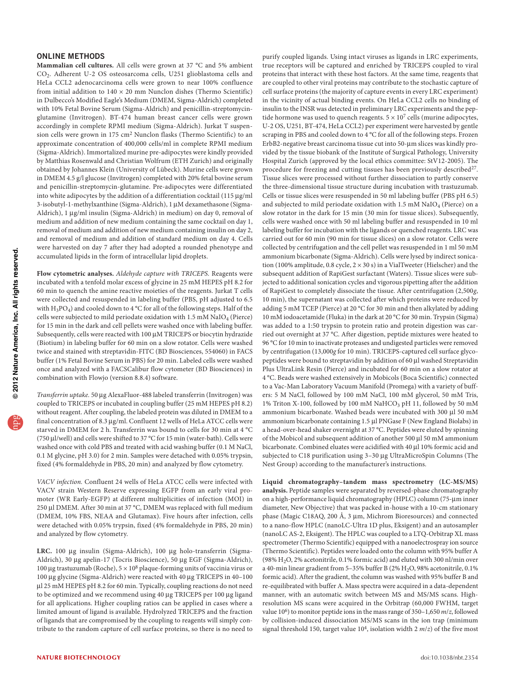### ONLINE METHODS

**Mammalian cell cultures.** All cells were grown at 37 °C and 5% ambient CO2. Adherent U-2 OS osteosarcoma cells, U251 glioblastoma cells and HeLa CCL2 adenocarcinoma cells were grown to near 100% confluence from initial addition to  $140 \times 20$  mm Nunclon dishes (Thermo Scientific) in Dulbecco's Modified Eagle's Medium (DMEM, Sigma-Aldrich) completed with 10% Fetal Bovine Serum (Sigma-Aldrich) and penicillin-streptomycinglutamine (Invitrogen). BT-474 human breast cancer cells were grown accordingly in complete RPMI medium (Sigma-Aldrich). Jurkat T suspension cells were grown in 175 cm2 Nunclon flasks (Thermo Scientific) to an approximate concentration of 400,000 cells/ml in complete RPMI medium (Sigma-Aldrich). Immortalized murine pre-adipocytes were kindly provided by Matthias Rosenwald and Christian Wolfrum (ETH Zurich) and originally obtained by Johannes Klein (University of Lübeck). Murine cells were grown in DMEM 4.5 g/l glucose (Invitrogen) completed with 20% fetal bovine serum and penicillin-streptomycin-glutamine. Pre-adipocytes were differentiated into white adipocytes by the addition of a differentiation cocktail (115 µg/ml 3-isobutyl-1-methylxanthine (Sigma-Aldrich), 1 µM dexamethasone (Sigma-Aldrich), 1 µg/ml insulin (Sigma-Aldrich) in medium) on day 0, removal of medium and addition of new medium containing the same cocktail on day 1, removal of medium and addition of new medium containing insulin on day 2, and removal of medium and addition of standard medium on day 4. Cells were harvested on day 7 after they had adopted a rounded phenotype and accumulated lipids in the form of intracellular lipid droplets.

**Flow cytometric analyses.** *Aldehyde capture with TRICEPS.* Reagents were incubated with a tenfold molar excess of glycine in 25 mM HEPES pH 8.2 for 60 min to quench the amine reactive moieties of the reagents. Jurkat T cells were collected and resuspended in labeling buffer (PBS, pH adjusted to 6.5 with H3PO4) and cooled down to 4 °C for all of the following steps. Half of the cells were subjected to mild periodate oxidation with  $1.5 \text{ mM }$  NaIO<sub>4</sub> (Pierce) for 15 min in the dark and cell pellets were washed once with labeling buffer. Subsequently, cells were reacted with 100  $\mu$ M TRICEPS or biocytin hydrazide (Biotium) in labeling buffer for 60 min on a slow rotator. Cells were washed twice and stained with streptavidin-FITC (BD Biosciences, 554060) in FACS buffer (1% Fetal Bovine Serum in PBS) for 20 min. Labeled cells were washed once and analyzed with a FACSCalibur flow cytometer (BD Biosciences) in combination with Flowjo (version 8.8.4) software.

*Transferrin uptake.* 50 µg AlexaFluor-488 labeled transferrin (Invitrogen) was coupled to TRICEPS or incubated in coupling buffer (25 mM HEPES pH 8.2) without reagent. After coupling, the labeled protein was diluted in DMEM to a final concentration of 8.3 µg/ml. Confluent 12 wells of HeLa ATCC cells were starved in DMEM for 2 h. Transferrin was bound to cells for 30 min at 4 °C (750 µl/well) and cells were shifted to 37 °C for 15 min (water-bath). Cells were washed once with cold PBS and treated with acid washing buffer (0.1 M NaCl, 0.1 M glycine, pH 3.0) for 2 min. Samples were detached with 0.05% trypsin, fixed (4% formaldehyde in PBS, 20 min) and analyzed by flow cytometry.

*VACV infection.* Confluent 24 wells of HeLa ATCC cells were infected with VACV strain Western Reserve expressing EGFP from an early viral promoter (WR Early-EGFP) at different multiplicities of infection (MOI) in 250 µl DMEM. After 30 min at 37 °C, DMEM was replaced with full medium (DMEM, 10% FBS, NEAA and Glutamax). Five hours after infection, cells were detached with 0.05% trypsin, fixed (4% formaldehyde in PBS, 20 min) and analyzed by flow cytometry.

**LRC.** 100 µg insulin (Sigma-Aldrich), 100 µg holo-transferrin (Sigma-Aldrich), 30 µg apelin-17 (Tocris Bioscience), 50 µg EGF (Sigma-Aldrich), 100 µg trastuzumab (Roche),  $5 \times 10^8$  plaque-forming units of vaccinia virus or 100 µg glycine (Sigma-Aldrich) were reacted with 40 µg TRICEPS in 40–100 µl 25 mM HEPES pH 8.2 for 60 min. Typically, coupling reactions do not need to be optimized and we recommend using 40 µg TRICEPS per 100 µg ligand for all applications. Higher coupling ratios can be applied in cases where a limited amount of ligand is available. Hydrolyzed TRICEPS and the fraction of ligands that are compromised by the coupling to reagents will simply contribute to the random capture of cell surface proteins, so there is no need to

purify coupled ligands. Using intact viruses as ligands in LRC experiments, true receptors will be captured and enriched by TRICEPS coupled to viral proteins that interact with these host factors. At the same time, reagents that are coupled to other viral proteins may contribute to the stochastic capture of cell surface proteins (the majority of capture events in every LRC experiment) in the vicinity of actual binding events. On HeLa CCL2 cells no binding of insulin to the INSR was detected in preliminary LRC experiments and the peptide hormone was used to quench reagents.  $5 \times 10^7$  cells (murine adipocytes, U-2 OS, U251, BT-474, HeLa CCL2) per experiment were harvested by gentle scraping in PBS and cooled down to 4 °C for all of the following steps. Frozen ErbB2-negative breast carcinoma tissue cut into 50-µm slices was kindly provided by the tissue biobank of the Institute of Surgical Pathology, University Hospital Zurich (approved by the local ethics committee: StV12-2005). The procedure for freezing and cutting tissues has been previously described<sup>27</sup>. Tissue slices were processed without further dissociation to partly conserve the three-dimensional tissue structure during incubation with trastuzumab. Cells or tissue slices were resuspended in 50 ml labeling buffer (PBS pH 6.5) and subjected to mild periodate oxidation with  $1.5 \text{ mM } \text{NaIO}_4$  (Pierce) on a slow rotator in the dark for 15 min (30 min for tissue slices). Subsequently, cells were washed once with 50 ml labeling buffer and resuspended in 10 ml labeling buffer for incubation with the ligands or quenched reagents. LRC was carried out for 60 min (90 min for tissue slices) on a slow rotator. Cells were collected by centrifugation and the cell pellet was resuspended in 1 ml 50 mM ammonium bicarbonate (Sigma-Aldrich). Cells were lysed by indirect sonication (100% amplitude,  $0.8$  cycle,  $2 \times 30$  s) in a VialTweeter (Hielscher) and the subsequent addition of RapiGest surfactant (Waters). Tissue slices were subjected to additional sonication cycles and vigorous pipetting after the addition of RapiGest to completely dissociate the tissue. After centrifugation (2,500*g*, 10 min), the supernatant was collected after which proteins were reduced by adding 5 mM TCEP (Pierce) at 20 °C for 30 min and then alkylated by adding 10 mM iodoacetamide (Fluka) in the dark at 20 °C for 30 min. Trypsin (Sigma) was added to a 1:50 trypsin to protein ratio and protein digestion was carried out overnight at 37 °C. After digestion, peptide mixtures were heated to 96 °C for 10 min to inactivate proteases and undigested particles were removed by centrifugation (13,000*g* for 10 min). TRICEPS-captured cell surface glycopeptides were bound to streptavidin by addition of 60 µl washed Streptavidin Plus UltraLink Resin (Pierce) and incubated for 60 min on a slow rotator at 4 °C. Beads were washed extensively in Mobicols (Boca Scientific) connected to a Vac-Man Laboratory Vacuum Manifold (Promega) with a variety of buffers: 5 M NaCl, followed by 100 mM NaCl, 100 mM glycerol, 50 mM Tris, 1% Triton X-100, followed by 100 mM NaHCO<sub>3</sub> pH 11, followed by 50 mM ammonium bicarbonate. Washed beads were incubated with 300 µl 50 mM ammonium bicarbonate containing 1.5 µl PNGase F (New England Biolabs) in a head-over-head shaker overnight at 37 °C. Peptides were eluted by spinning of the Mobicol and subsequent addition of another 500 µl 50 mM ammonium bicarbonate. Combined eluates were acidified with 40 µl 10% formic acid and subjected to C18 purification using 3–30 µg UltraMicroSpin Columns (The Nest Group) according to the manufacturer's instructions.

**Liquid chromatography–tandem mass spectrometry (LC-MS/MS) analysis.** Peptide samples were separated by reversed-phase chromatography on a high-performance liquid chromatography (HPLC) column (75-µm inner diameter, New Objective) that was packed in-house with a 10-cm stationary phase (Magic C18AQ, 200 Å, 3 µm, Michrom Bioresources) and connected to a nano-flow HPLC (nanoLC-Ultra 1D plus, Eksigent) and an autosampler (nanoLC AS-2, Eksigent). The HPLC was coupled to a LTQ-Orbitrap XL mass spectrometer (Thermo Scientific) equipped with a nanoelectrospray ion source (Thermo Scientific). Peptides were loaded onto the column with 95% buffer A (98%  $\rm H_2O,$  2% acetonitrile, 0.1% formic acid) and eluted with 300 nl/min over a 40-min linear gradient from 5-35% buffer B (2% H<sub>2</sub>O, 98% acetonitrile, 0.1% formic acid). After the gradient, the column was washed with 95% buffer B and re-equilibrated with buffer A. Mass spectra were acquired in a data-dependent manner, with an automatic switch between MS and MS/MS scans. Highresolution MS scans were acquired in the Orbitrap (60,000 FWHM, target value 106) to monitor peptide ions in the mass range of 350–1,650 *m*/*z*, followed by collision-induced dissociation MS/MS scans in the ion trap (minimum signal threshold 150, target value  $10^4$ , isolation width 2  $m/z$ ) of the five most